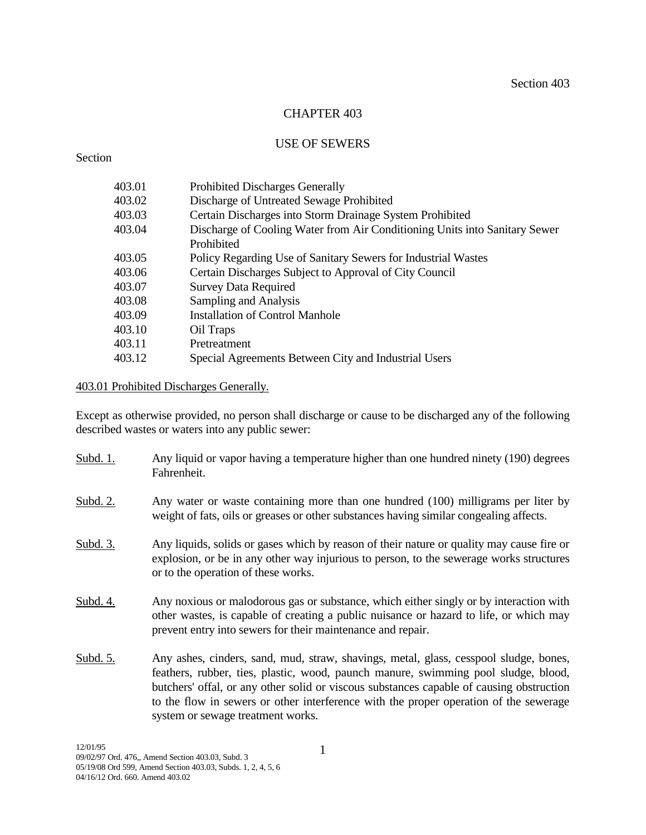# CHAPTER 403

### USE OF SEWERS

# Section

| 403.01 | <b>Prohibited Discharges Generally</b>                                     |
|--------|----------------------------------------------------------------------------|
| 403.02 | Discharge of Untreated Sewage Prohibited                                   |
| 403.03 | Certain Discharges into Storm Drainage System Prohibited                   |
| 403.04 | Discharge of Cooling Water from Air Conditioning Units into Sanitary Sewer |
|        | Prohibited                                                                 |
| 403.05 | Policy Regarding Use of Sanitary Sewers for Industrial Wastes              |
| 403.06 | Certain Discharges Subject to Approval of City Council                     |
| 403.07 | <b>Survey Data Required</b>                                                |
| 403.08 | Sampling and Analysis                                                      |
| 403.09 | <b>Installation of Control Manhole</b>                                     |
| 403.10 | Oil Traps                                                                  |
| 403.11 | Pretreatment                                                               |
| 403.12 | Special Agreements Between City and Industrial Users                       |

# 403.01 Prohibited Discharges Generally.

Except as otherwise provided, no person shall discharge or cause to be discharged any of the following described wastes or waters into any public sewer:

| Subd. 1.        | Any liquid or vapor having a temperature higher than one hundred ninety (190) degrees<br>Fahrenheit.                                                                                                                                                                                                                                                                                                  |
|-----------------|-------------------------------------------------------------------------------------------------------------------------------------------------------------------------------------------------------------------------------------------------------------------------------------------------------------------------------------------------------------------------------------------------------|
| Subd. 2.        | Any water or waste containing more than one hundred (100) milligrams per liter by<br>weight of fats, oils or greases or other substances having similar congealing affects.                                                                                                                                                                                                                           |
| <u>Subd. 3.</u> | Any liquids, solids or gases which by reason of their nature or quality may cause fire or<br>explosion, or be in any other way injurious to person, to the sewerage works structures<br>or to the operation of these works.                                                                                                                                                                           |
| Subd. 4.        | Any noxious or malodorous gas or substance, which either singly or by interaction with<br>other wastes, is capable of creating a public nuisance or hazard to life, or which may<br>prevent entry into sewers for their maintenance and repair.                                                                                                                                                       |
| Subd. 5.        | Any ashes, cinders, sand, mud, straw, shavings, metal, glass, cesspool sludge, bones,<br>feathers, rubber, ties, plastic, wood, paunch manure, swimming pool sludge, blood,<br>butchers' offal, or any other solid or viscous substances capable of causing obstruction<br>to the flow in sewers or other interference with the proper operation of the sewerage<br>system or sewage treatment works. |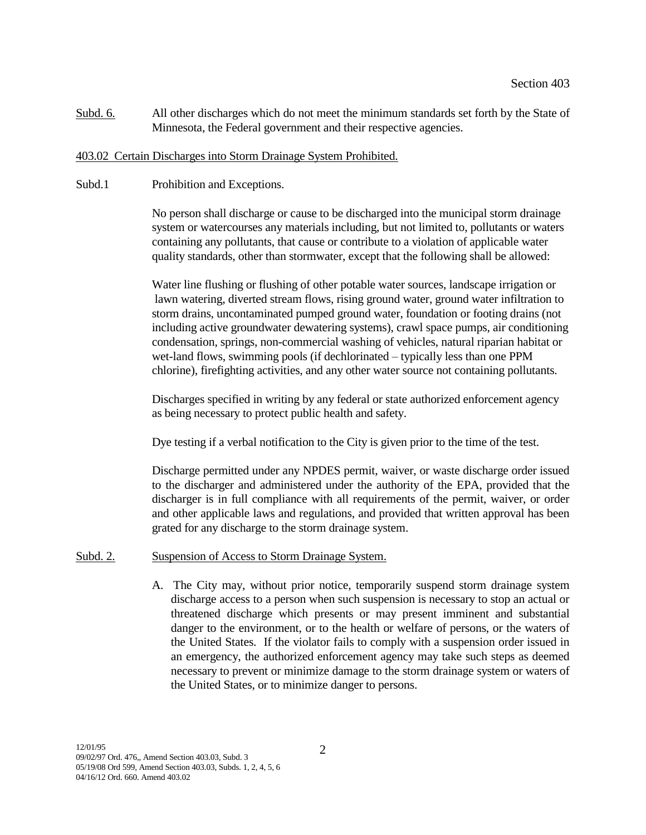Subd. 6. All other discharges which do not meet the minimum standards set forth by the State of Minnesota, the Federal government and their respective agencies.

#### 403.02 Certain Discharges into Storm Drainage System Prohibited.

Subd.1 Prohibition and Exceptions.

No person shall discharge or cause to be discharged into the municipal storm drainage system or watercourses any materials including, but not limited to, pollutants or waters containing any pollutants, that cause or contribute to a violation of applicable water quality standards, other than stormwater, except that the following shall be allowed:

Water line flushing or flushing of other potable water sources, landscape irrigation or lawn watering, diverted stream flows, rising ground water, ground water infiltration to storm drains, uncontaminated pumped ground water, foundation or footing drains (not including active groundwater dewatering systems), crawl space pumps, air conditioning condensation, springs, non-commercial washing of vehicles, natural riparian habitat or wet-land flows, swimming pools (if dechlorinated – typically less than one PPM chlorine), firefighting activities, and any other water source not containing pollutants.

Discharges specified in writing by any federal or state authorized enforcement agency as being necessary to protect public health and safety.

Dye testing if a verbal notification to the City is given prior to the time of the test.

Discharge permitted under any NPDES permit, waiver, or waste discharge order issued to the discharger and administered under the authority of the EPA, provided that the discharger is in full compliance with all requirements of the permit, waiver, or order and other applicable laws and regulations, and provided that written approval has been grated for any discharge to the storm drainage system.

#### Subd. 2. Suspension of Access to Storm Drainage System.

A. The City may, without prior notice, temporarily suspend storm drainage system discharge access to a person when such suspension is necessary to stop an actual or threatened discharge which presents or may present imminent and substantial danger to the environment, or to the health or welfare of persons, or the waters of the United States. If the violator fails to comply with a suspension order issued in an emergency, the authorized enforcement agency may take such steps as deemed necessary to prevent or minimize damage to the storm drainage system or waters of the United States, or to minimize danger to persons.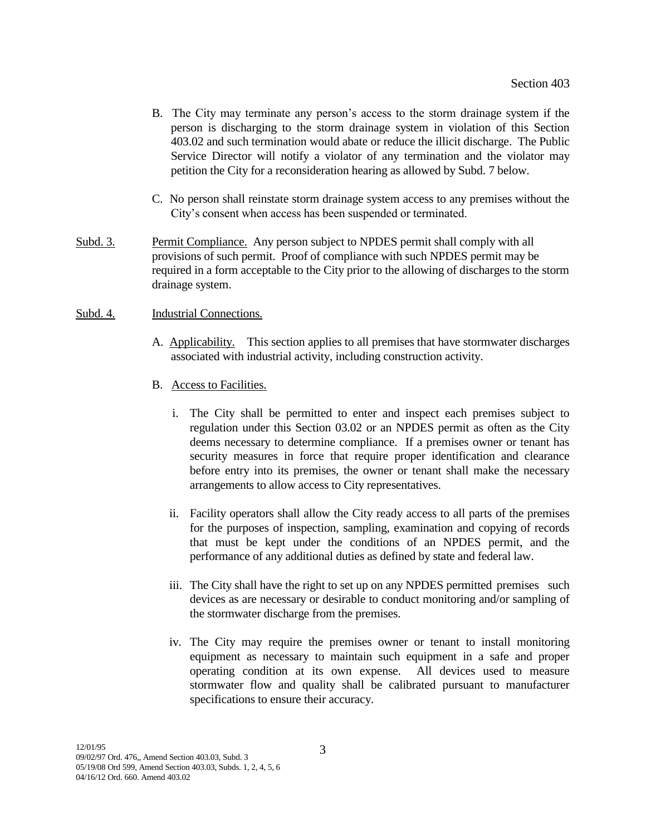- B. The City may terminate any person's access to the storm drainage system if the person is discharging to the storm drainage system in violation of this Section 403.02 and such termination would abate or reduce the illicit discharge. The Public Service Director will notify a violator of any termination and the violator may petition the City for a reconsideration hearing as allowed by Subd. 7 below.
- C. No person shall reinstate storm drainage system access to any premises without the City's consent when access has been suspended or terminated.
- Subd. 3. Permit Compliance. Any person subject to NPDES permit shall comply with all provisions of such permit. Proof of compliance with such NPDES permit may be required in a form acceptable to the City prior to the allowing of discharges to the storm drainage system.
- Subd. 4. Industrial Connections.
	- A. Applicability. This section applies to all premises that have stormwater discharges associated with industrial activity, including construction activity.
	- B. Access to Facilities.
		- i. The City shall be permitted to enter and inspect each premises subject to regulation under this Section 03.02 or an NPDES permit as often as the City deems necessary to determine compliance. If a premises owner or tenant has security measures in force that require proper identification and clearance before entry into its premises, the owner or tenant shall make the necessary arrangements to allow access to City representatives.
		- ii. Facility operators shall allow the City ready access to all parts of the premises for the purposes of inspection, sampling, examination and copying of records that must be kept under the conditions of an NPDES permit, and the performance of any additional duties as defined by state and federal law.
		- iii. The City shall have the right to set up on any NPDES permitted premises such devices as are necessary or desirable to conduct monitoring and/or sampling of the stormwater discharge from the premises.
		- iv. The City may require the premises owner or tenant to install monitoring equipment as necessary to maintain such equipment in a safe and proper operating condition at its own expense. All devices used to measure stormwater flow and quality shall be calibrated pursuant to manufacturer specifications to ensure their accuracy.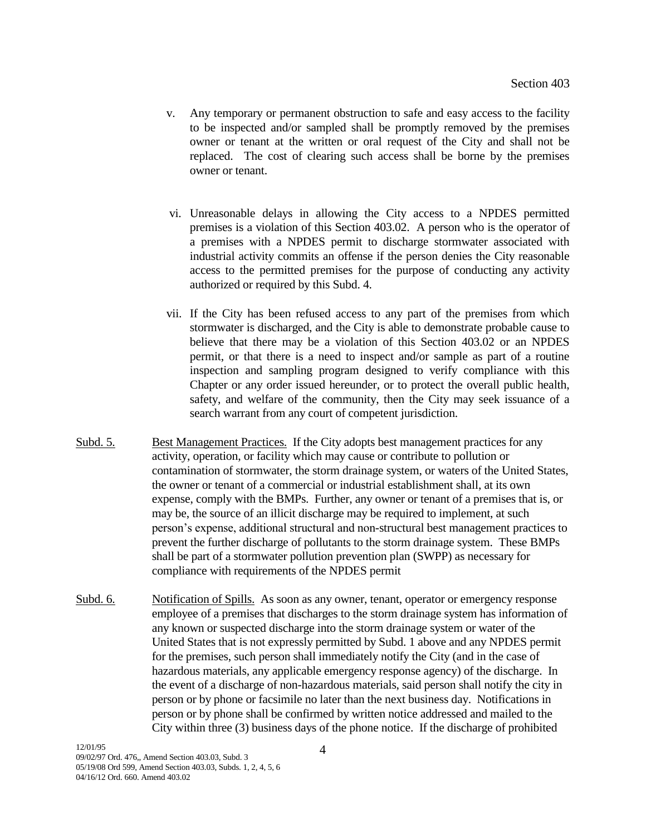- v. Any temporary or permanent obstruction to safe and easy access to the facility to be inspected and/or sampled shall be promptly removed by the premises owner or tenant at the written or oral request of the City and shall not be replaced. The cost of clearing such access shall be borne by the premises owner or tenant.
- vi. Unreasonable delays in allowing the City access to a NPDES permitted premises is a violation of this Section 403.02. A person who is the operator of a premises with a NPDES permit to discharge stormwater associated with industrial activity commits an offense if the person denies the City reasonable access to the permitted premises for the purpose of conducting any activity authorized or required by this Subd. 4.
- vii. If the City has been refused access to any part of the premises from which stormwater is discharged, and the City is able to demonstrate probable cause to believe that there may be a violation of this Section 403.02 or an NPDES permit, or that there is a need to inspect and/or sample as part of a routine inspection and sampling program designed to verify compliance with this Chapter or any order issued hereunder, or to protect the overall public health, safety, and welfare of the community, then the City may seek issuance of a search warrant from any court of competent jurisdiction.
- Subd. 5. Best Management Practices. If the City adopts best management practices for any activity, operation, or facility which may cause or contribute to pollution or contamination of stormwater, the storm drainage system, or waters of the United States, the owner or tenant of a commercial or industrial establishment shall, at its own expense, comply with the BMPs. Further, any owner or tenant of a premises that is, or may be, the source of an illicit discharge may be required to implement, at such person's expense, additional structural and non-structural best management practices to prevent the further discharge of pollutants to the storm drainage system. These BMPs shall be part of a stormwater pollution prevention plan (SWPP) as necessary for compliance with requirements of the NPDES permit
- Subd. 6. Notification of Spills. As soon as any owner, tenant, operator or emergency response employee of a premises that discharges to the storm drainage system has information of any known or suspected discharge into the storm drainage system or water of the United States that is not expressly permitted by Subd. 1 above and any NPDES permit for the premises, such person shall immediately notify the City (and in the case of hazardous materials, any applicable emergency response agency) of the discharge. In the event of a discharge of non-hazardous materials, said person shall notify the city in person or by phone or facsimile no later than the next business day. Notifications in person or by phone shall be confirmed by written notice addressed and mailed to the City within three (3) business days of the phone notice. If the discharge of prohibited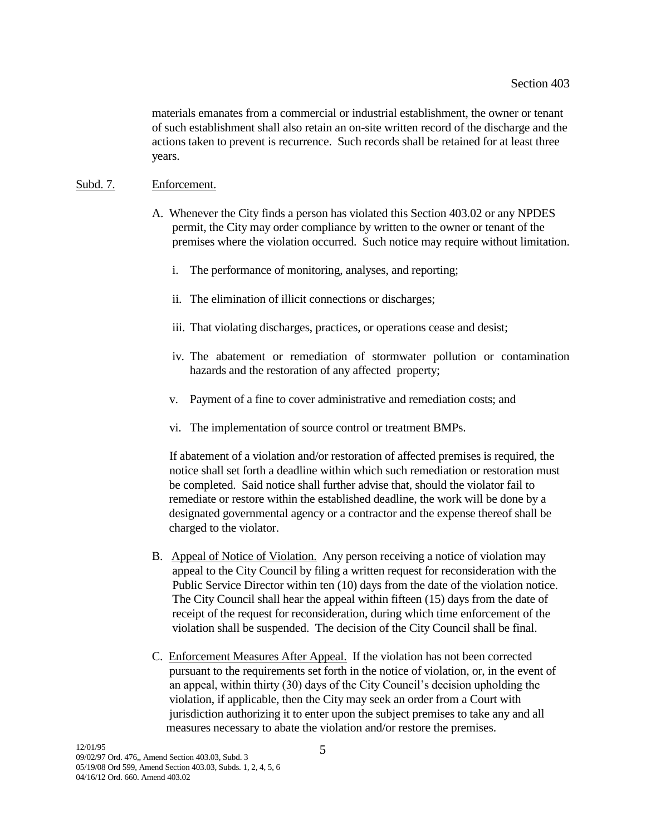materials emanates from a commercial or industrial establishment, the owner or tenant of such establishment shall also retain an on-site written record of the discharge and the actions taken to prevent is recurrence. Such records shall be retained for at least three years.

#### Subd. 7. Enforcement.

- A. Whenever the City finds a person has violated this Section 403.02 or any NPDES permit, the City may order compliance by written to the owner or tenant of the premises where the violation occurred. Such notice may require without limitation.
	- i. The performance of monitoring, analyses, and reporting;
	- ii. The elimination of illicit connections or discharges;
	- iii. That violating discharges, practices, or operations cease and desist;
	- iv. The abatement or remediation of stormwater pollution or contamination hazards and the restoration of any affected property;
	- v. Payment of a fine to cover administrative and remediation costs; and
	- vi. The implementation of source control or treatment BMPs.

 If abatement of a violation and/or restoration of affected premises is required, the notice shall set forth a deadline within which such remediation or restoration must be completed. Said notice shall further advise that, should the violator fail to remediate or restore within the established deadline, the work will be done by a designated governmental agency or a contractor and the expense thereof shall be charged to the violator.

- B. Appeal of Notice of Violation. Any person receiving a notice of violation may appeal to the City Council by filing a written request for reconsideration with the Public Service Director within ten (10) days from the date of the violation notice. The City Council shall hear the appeal within fifteen (15) days from the date of receipt of the request for reconsideration, during which time enforcement of the violation shall be suspended. The decision of the City Council shall be final.
- C. Enforcement Measures After Appeal. If the violation has not been corrected pursuant to the requirements set forth in the notice of violation, or, in the event of an appeal, within thirty (30) days of the City Council's decision upholding the violation, if applicable, then the City may seek an order from a Court with jurisdiction authorizing it to enter upon the subject premises to take any and all measures necessary to abate the violation and/or restore the premises.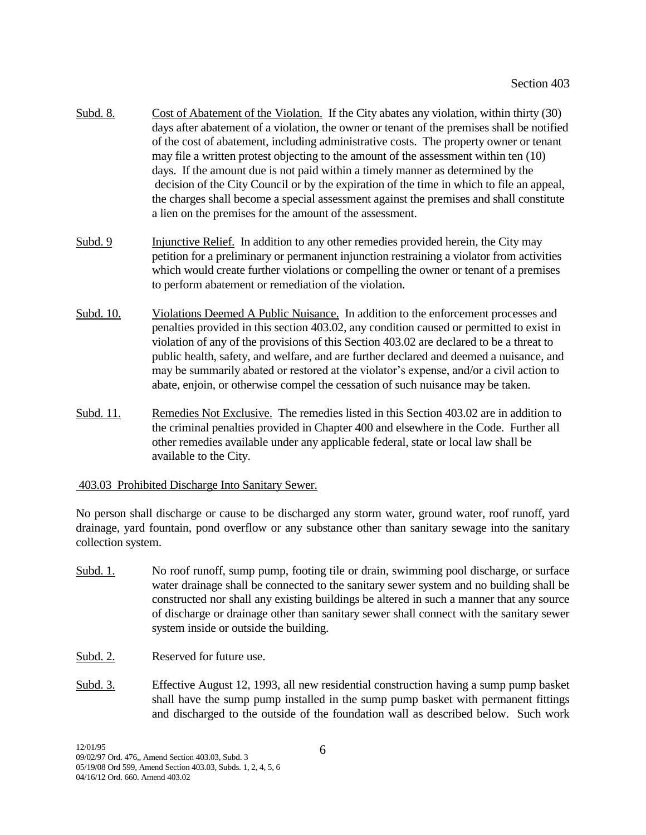- Subd. 8. Cost of Abatement of the Violation. If the City abates any violation, within thirty (30) days after abatement of a violation, the owner or tenant of the premises shall be notified of the cost of abatement, including administrative costs. The property owner or tenant may file a written protest objecting to the amount of the assessment within ten (10) days. If the amount due is not paid within a timely manner as determined by the decision of the City Council or by the expiration of the time in which to file an appeal, the charges shall become a special assessment against the premises and shall constitute a lien on the premises for the amount of the assessment.
- Subd. 9 Injunctive Relief. In addition to any other remedies provided herein, the City may petition for a preliminary or permanent injunction restraining a violator from activities which would create further violations or compelling the owner or tenant of a premises to perform abatement or remediation of the violation.
- Subd. 10. Violations Deemed A Public Nuisance. In addition to the enforcement processes and penalties provided in this section 403.02, any condition caused or permitted to exist in violation of any of the provisions of this Section 403.02 are declared to be a threat to public health, safety, and welfare, and are further declared and deemed a nuisance, and may be summarily abated or restored at the violator's expense, and/or a civil action to abate, enjoin, or otherwise compel the cessation of such nuisance may be taken.
- Subd. 11. Remedies Not Exclusive. The remedies listed in this Section 403.02 are in addition to the criminal penalties provided in Chapter 400 and elsewhere in the Code. Further all other remedies available under any applicable federal, state or local law shall be available to the City.

#### 403.03 Prohibited Discharge Into Sanitary Sewer.

No person shall discharge or cause to be discharged any storm water, ground water, roof runoff, yard drainage, yard fountain, pond overflow or any substance other than sanitary sewage into the sanitary collection system.

- Subd. 1. No roof runoff, sump pump, footing tile or drain, swimming pool discharge, or surface water drainage shall be connected to the sanitary sewer system and no building shall be constructed nor shall any existing buildings be altered in such a manner that any source of discharge or drainage other than sanitary sewer shall connect with the sanitary sewer system inside or outside the building.
- Subd. 2. Reserved for future use.
- Subd. 3. Effective August 12, 1993, all new residential construction having a sump pump basket shall have the sump pump installed in the sump pump basket with permanent fittings and discharged to the outside of the foundation wall as described below. Such work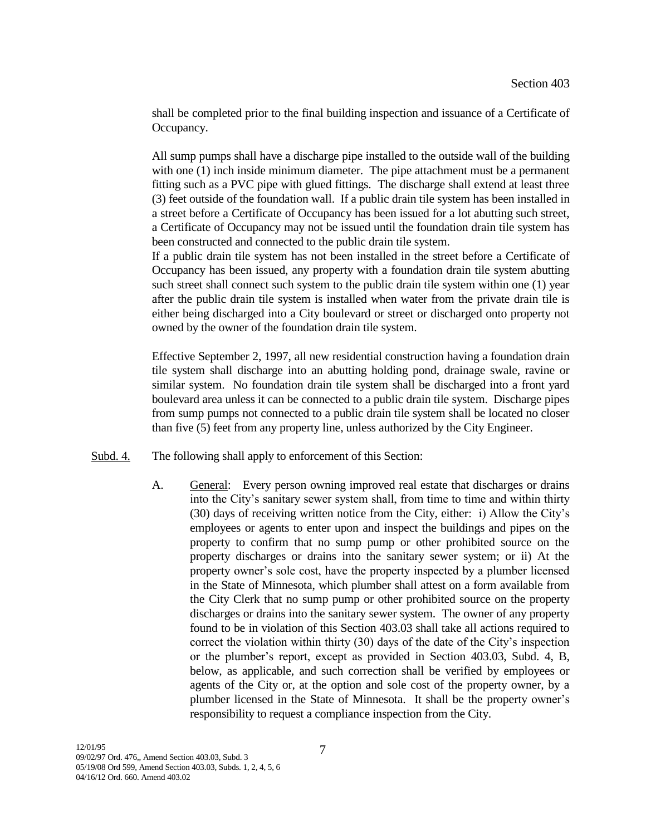shall be completed prior to the final building inspection and issuance of a Certificate of Occupancy.

All sump pumps shall have a discharge pipe installed to the outside wall of the building with one (1) inch inside minimum diameter. The pipe attachment must be a permanent fitting such as a PVC pipe with glued fittings. The discharge shall extend at least three (3) feet outside of the foundation wall. If a public drain tile system has been installed in a street before a Certificate of Occupancy has been issued for a lot abutting such street, a Certificate of Occupancy may not be issued until the foundation drain tile system has been constructed and connected to the public drain tile system.

If a public drain tile system has not been installed in the street before a Certificate of Occupancy has been issued, any property with a foundation drain tile system abutting such street shall connect such system to the public drain tile system within one (1) year after the public drain tile system is installed when water from the private drain tile is either being discharged into a City boulevard or street or discharged onto property not owned by the owner of the foundation drain tile system.

Effective September 2, 1997, all new residential construction having a foundation drain tile system shall discharge into an abutting holding pond, drainage swale, ravine or similar system. No foundation drain tile system shall be discharged into a front yard boulevard area unless it can be connected to a public drain tile system. Discharge pipes from sump pumps not connected to a public drain tile system shall be located no closer than five (5) feet from any property line, unless authorized by the City Engineer.

- Subd. 4. The following shall apply to enforcement of this Section:
	- A. General: Every person owning improved real estate that discharges or drains into the City's sanitary sewer system shall, from time to time and within thirty (30) days of receiving written notice from the City, either: i) Allow the City's employees or agents to enter upon and inspect the buildings and pipes on the property to confirm that no sump pump or other prohibited source on the property discharges or drains into the sanitary sewer system; or ii) At the property owner's sole cost, have the property inspected by a plumber licensed in the State of Minnesota, which plumber shall attest on a form available from the City Clerk that no sump pump or other prohibited source on the property discharges or drains into the sanitary sewer system. The owner of any property found to be in violation of this Section 403.03 shall take all actions required to correct the violation within thirty (30) days of the date of the City's inspection or the plumber's report, except as provided in Section 403.03, Subd. 4, B, below, as applicable, and such correction shall be verified by employees or agents of the City or, at the option and sole cost of the property owner, by a plumber licensed in the State of Minnesota. It shall be the property owner's responsibility to request a compliance inspection from the City.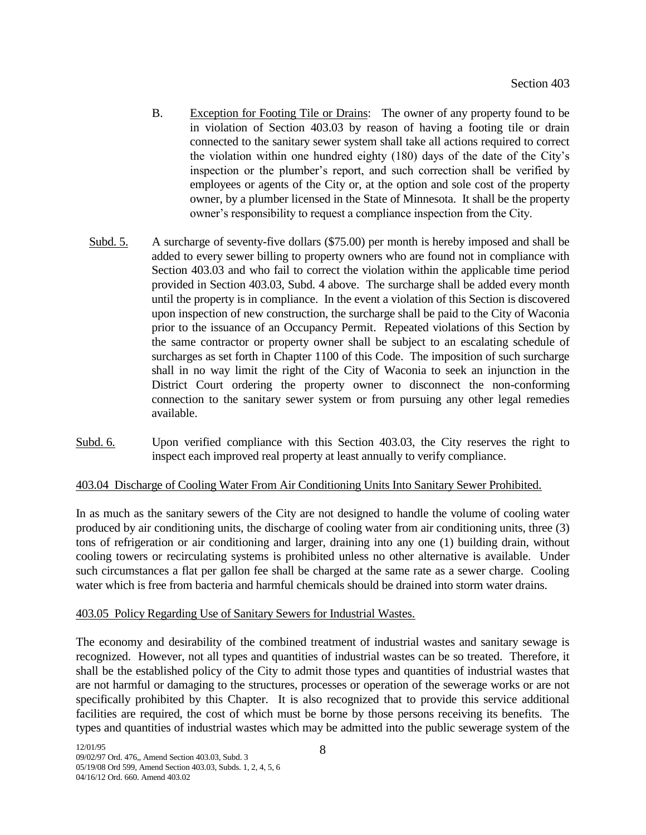- B. Exception for Footing Tile or Drains: The owner of any property found to be in violation of Section 403.03 by reason of having a footing tile or drain connected to the sanitary sewer system shall take all actions required to correct the violation within one hundred eighty (180) days of the date of the City's inspection or the plumber's report, and such correction shall be verified by employees or agents of the City or, at the option and sole cost of the property owner, by a plumber licensed in the State of Minnesota. It shall be the property owner's responsibility to request a compliance inspection from the City.
- Subd. 5. A surcharge of seventy-five dollars (\$75.00) per month is hereby imposed and shall be added to every sewer billing to property owners who are found not in compliance with Section 403.03 and who fail to correct the violation within the applicable time period provided in Section 403.03, Subd. 4 above. The surcharge shall be added every month until the property is in compliance. In the event a violation of this Section is discovered upon inspection of new construction, the surcharge shall be paid to the City of Waconia prior to the issuance of an Occupancy Permit. Repeated violations of this Section by the same contractor or property owner shall be subject to an escalating schedule of surcharges as set forth in Chapter 1100 of this Code. The imposition of such surcharge shall in no way limit the right of the City of Waconia to seek an injunction in the District Court ordering the property owner to disconnect the non-conforming connection to the sanitary sewer system or from pursuing any other legal remedies available.
- Subd. 6. Upon verified compliance with this Section 403.03, the City reserves the right to inspect each improved real property at least annually to verify compliance.

# 403.04 Discharge of Cooling Water From Air Conditioning Units Into Sanitary Sewer Prohibited.

In as much as the sanitary sewers of the City are not designed to handle the volume of cooling water produced by air conditioning units, the discharge of cooling water from air conditioning units, three (3) tons of refrigeration or air conditioning and larger, draining into any one (1) building drain, without cooling towers or recirculating systems is prohibited unless no other alternative is available. Under such circumstances a flat per gallon fee shall be charged at the same rate as a sewer charge. Cooling water which is free from bacteria and harmful chemicals should be drained into storm water drains.

#### 403.05 Policy Regarding Use of Sanitary Sewers for Industrial Wastes.

The economy and desirability of the combined treatment of industrial wastes and sanitary sewage is recognized. However, not all types and quantities of industrial wastes can be so treated. Therefore, it shall be the established policy of the City to admit those types and quantities of industrial wastes that are not harmful or damaging to the structures, processes or operation of the sewerage works or are not specifically prohibited by this Chapter. It is also recognized that to provide this service additional facilities are required, the cost of which must be borne by those persons receiving its benefits. The types and quantities of industrial wastes which may be admitted into the public sewerage system of the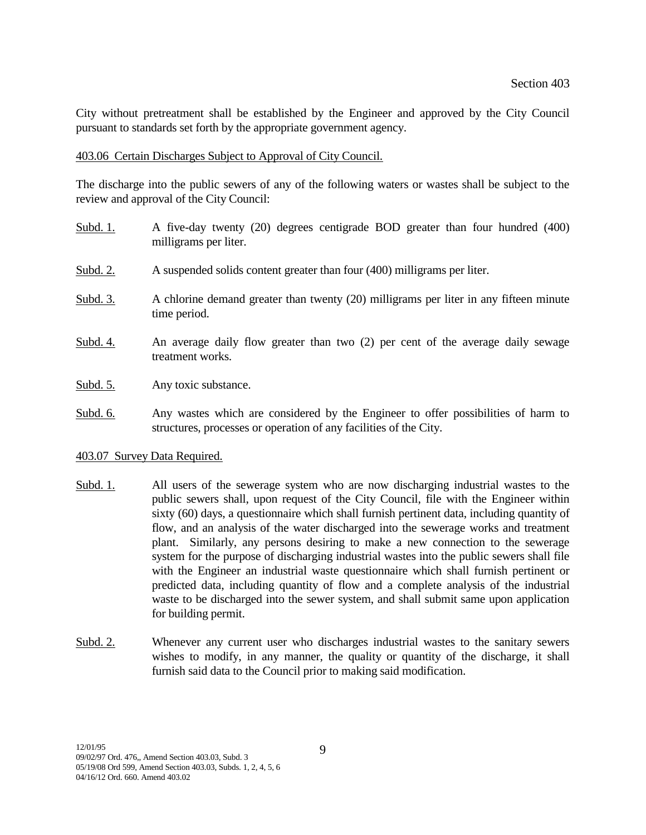City without pretreatment shall be established by the Engineer and approved by the City Council pursuant to standards set forth by the appropriate government agency.

### 403.06 Certain Discharges Subject to Approval of City Council.

The discharge into the public sewers of any of the following waters or wastes shall be subject to the review and approval of the City Council:

- Subd. 1. A five-day twenty (20) degrees centigrade BOD greater than four hundred (400) milligrams per liter.
- Subd. 2. A suspended solids content greater than four (400) milligrams per liter.
- Subd. 3. A chlorine demand greater than twenty (20) milligrams per liter in any fifteen minute time period.
- Subd. 4. An average daily flow greater than two (2) per cent of the average daily sewage treatment works.
- Subd. 5. Any toxic substance.
- Subd. 6. Any wastes which are considered by the Engineer to offer possibilities of harm to structures, processes or operation of any facilities of the City.

# 403.07 Survey Data Required.

- Subd. 1. All users of the sewerage system who are now discharging industrial wastes to the public sewers shall, upon request of the City Council, file with the Engineer within sixty (60) days, a questionnaire which shall furnish pertinent data, including quantity of flow, and an analysis of the water discharged into the sewerage works and treatment plant. Similarly, any persons desiring to make a new connection to the sewerage system for the purpose of discharging industrial wastes into the public sewers shall file with the Engineer an industrial waste questionnaire which shall furnish pertinent or predicted data, including quantity of flow and a complete analysis of the industrial waste to be discharged into the sewer system, and shall submit same upon application for building permit.
- Subd. 2. Whenever any current user who discharges industrial wastes to the sanitary sewers wishes to modify, in any manner, the quality or quantity of the discharge, it shall furnish said data to the Council prior to making said modification.